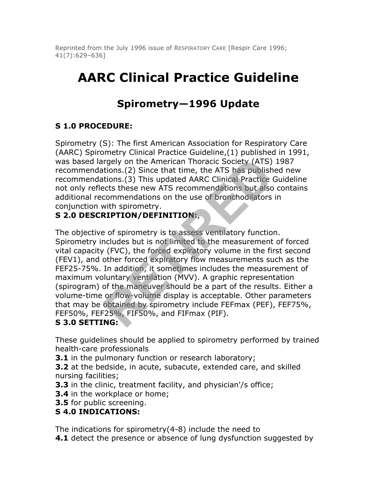Reprinted from the July 1996 issue of RESPIRATORY CARE [Respir Care 1996; 41(7):629–636]

# **AARC Clinical Practice Guideline**

## **Spirometry—1996 Update**

## **S 1.0 PROCEDURE:**

Spirometry (S): The first American Association for Respiratory Care (AARC) Spirometry Clinical Practice Guideline,(1) published in 1991, was based largely on the American Thoracic Society (ATS) 1987 recommendations.(2) Since that time, the ATS has published new recommendations.(3) This updated AARC Clinical Practice Guideline not only reflects these new ATS recommendations but also contains additional recommendations on the use of bronchodilators in conjunction with spirometry.

## **S 2.0 DESCRIPTION/DEFINITION:**,

The objective of spirometry is to assess ventilatory function. Spirometry includes but is not limited to the measurement of forced vital capacity (FVC), the forced expiratory volume in the first second (FEV1), and other forced expiratory flow measurements such as the FEF25-75%. In addition, it sometimes includes the measurement of maximum voluntary ventilation (MVV). A graphic representation (spirogram) of the maneuver should be a part of the results. Either a volume-time or flow-volume display is acceptable. Other parameters that may be obtained by spirometry include FEFmax (PEF), FEF75%, FEF50%, FEF25%, FIF50%, and FIFmax (PIF). rgely on the American Thoracic Society (ATS)<br>tions.(2) Since that time, the ATS has publish<br>tions.(3) This updated AARC Clinical Practice<br>ects these new ATS recommendations but also<br>commendations on the use of bronchodilat

## **S 3.0 SETTING:**

These guidelines should be applied to spirometry performed by trained health-care professionals

**3.1** in the pulmonary function or research laboratory;

**3.2** at the bedside, in acute, subacute, extended care, and skilled nursing facilities;

**3.3** in the clinic, treatment facility, and physician'/s office;

- **3.4** in the workplace or home;
- **3.5** for public screening.

## **S 4.0 INDICATIONS:**

The indications for spirometry(4-8) include the need to **4.1** detect the presence or absence of lung dysfunction suggested by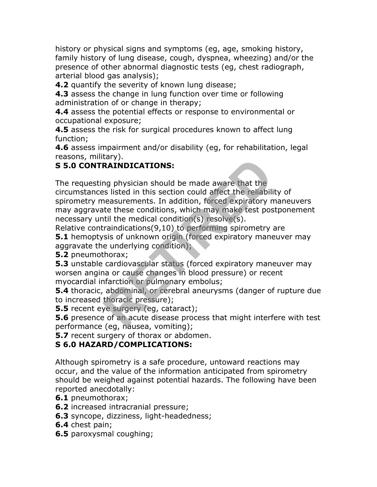history or physical signs and symptoms (eg, age, smoking history, family history of lung disease, cough, dyspnea, wheezing) and/or the presence of other abnormal diagnostic tests (eg, chest radiograph, arterial blood gas analysis);

**4.2** quantify the severity of known lung disease;

**4.3** assess the change in lung function over time or following administration of or change in therapy;

**4.4** assess the potential effects or response to environmental or occupational exposure;

**4.5** assess the risk for surgical procedures known to affect lung function;

**4.6** assess impairment and/or disability (eg, for rehabilitation, legal reasons, military).

## **S 5.0 CONTRAINDICATIONS:**

The requesting physician should be made aware that the

circumstances listed in this section could affect the reliability of spirometry measurements. In addition, forced expiratory maneuvers may aggravate these conditions, which may make test postponement necessary until the medical condition(s) resolve(s). **RAINDICATIONS:**<br>
Ing physician should be made aware that the<br>
Insessurements. In addition, forced expiratory n<br>
the these conditions, which may make test positil the medical condition(s) resolve(s).<br>
Iraindications(9,10)

Relative contraindications(9,10) to performing spirometry are

**5.1** hemoptysis of unknown origin (forced expiratory maneuver may aggravate the underlying condition);

**5.2** pneumothorax;

**5.3** unstable cardiovascular status (forced expiratory maneuver may worsen angina or cause changes in blood pressure) or recent myocardial infarction or pulmonary embolus;

**5.4** thoracic, abdominal, or cerebral aneurysms (danger of rupture due to increased thoracic pressure);

**5.5** recent eye surgery (eg, cataract);

**5.6** presence of an acute disease process that might interfere with test performance (eg, nausea, vomiting);

**5.7** recent surgery of thorax or abdomen.

## **S 6.0 HAZARD/COMPLICATIONS:**

Although spirometry is a safe procedure, untoward reactions may occur, and the value of the information anticipated from spirometry should be weighed against potential hazards. The following have been reported anecdotally:

- **6.1** pneumothorax;
- **6.2** increased intracranial pressure;
- **6.3** syncope, dizziness, light-headedness;
- **6.4** chest pain;
- **6.5** paroxysmal coughing;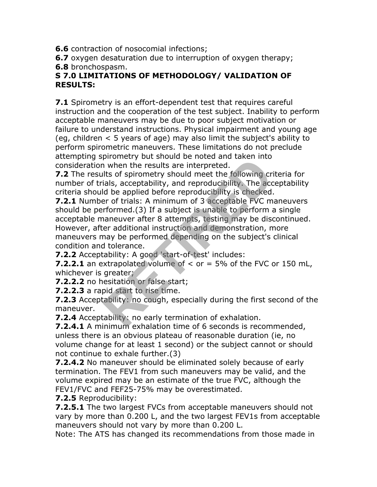**6.6** contraction of nosocomial infections;

**6.7** oxygen desaturation due to interruption of oxygen therapy;

**6.8** bronchospasm.

#### **S 7.0 LIMITATIONS OF METHODOLOGY/ VALIDATION OF RESULTS:**

**7.1** Spirometry is an effort-dependent test that requires careful instruction and the cooperation of the test subject. Inability to perform acceptable maneuvers may be due to poor subject motivation or failure to understand instructions. Physical impairment and young age (eg, children < 5 years of age) may also limit the subject's ability to perform spirometric maneuvers. These limitations do not preclude attempting spirometry but should be noted and taken into consideration when the results are interpreted.

**7.2** The results of spirometry should meet the following criteria for number of trials, acceptability, and reproducibility. The acceptability criteria should be applied before reproducibility is checked.

**7.2.1** Number of trials: A minimum of 3 acceptable FVC maneuvers should be performed.(3) If a subject is unable to perform a single acceptable maneuver after 8 attempts, testing may be discontinued. However, after additional instruction and demonstration, more maneuvers may be performed depending on the subject's clinical condition and tolerance. The results are interpreted.<br>
Then the results are interpreted.<br>
Its of spirometry should meet the following cridits of spirometry should meet the following cridits), acceptability, and reproducibility. The acceptable befo

**7.2.2** Acceptability: A good 'start-of-test' includes:

**7.2.2.1** an extrapolated volume of < or = 5% of the FVC or 150 mL, whichever is greater;

**7.2.2.2** no hesitation or false start;

**7.2.2.3** a rapid start to rise time.

**7.2.3** Acceptability: no cough, especially during the first second of the maneuver.

**7.2.4** Acceptability: no early termination of exhalation.

**7.2.4.1** A minimum exhalation time of 6 seconds is recommended, unless there is an obvious plateau of reasonable duration (ie, no volume change for at least 1 second) or the subject cannot or should not continue to exhale further.(3)

**7.2.4.2** No maneuver should be eliminated solely because of early termination. The FEV1 from such maneuvers may be valid, and the volume expired may be an estimate of the true FVC, although the FEV1/FVC and FEF25-75% may be overestimated.

**7.2.5** Reproducibility:

**7.2.5.1** The two largest FVCs from acceptable maneuvers should not vary by more than 0.200 L, and the two largest FEV1s from acceptable maneuvers should not vary by more than 0.200 L.

Note: The ATS has changed its recommendations from those made in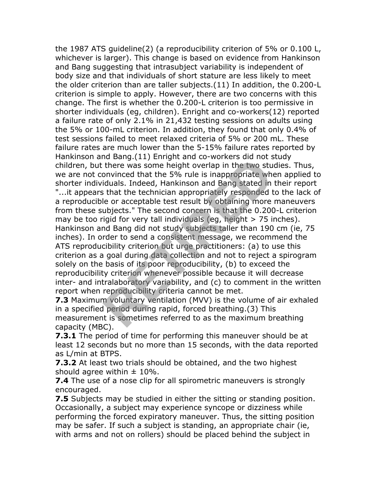the 1987 ATS guideline(2) (a reproducibility criterion of 5% or 0.100 L, whichever is larger). This change is based on evidence from Hankinson and Bang suggesting that intrasubject variability is independent of body size and that individuals of short stature are less likely to meet the older criterion than are taller subjects.(11) In addition, the 0.200-L criterion is simple to apply. However, there are two concerns with this change. The first is whether the 0.200-L criterion is too permissive in shorter individuals (eg, children). Enright and co-workers(12) reported a failure rate of only 2.1% in 21,432 testing sessions on adults using the 5% or 100-mL criterion. In addition, they found that only 0.4% of test sessions failed to meet relaxed criteria of 5% or 200 mL. These failure rates are much lower than the 5-15% failure rates reported by Hankinson and Bang.(11) Enright and co-workers did not study children, but there was some height overlap in the two studies. Thus, we are not convinced that the 5% rule is inappropriate when applied to shorter individuals. Indeed, Hankinson and Bang stated in their report "...it appears that the technician appropriately responded to the lack of a reproducible or acceptable test result by obtaining more maneuvers from these subjects." The second concern is that the 0.200-L criterion may be too rigid for very tall individuals (eg, height  $> 75$  inches). Hankinson and Bang did not study subjects taller than 190 cm (ie, 75 inches). In order to send a consistent message, we recommend the ATS reproducibility criterion but urge practitioners: (a) to use this criterion as a goal during data collection and not to reject a spirogram solely on the basis of its poor reproducibility, (b) to exceed the reproducibility criterion whenever possible because it will decrease inter- and intralaboratory variability, and (c) to comment in the written report when reproducibility criteria cannot be met. Id Bang.(11) Emight and co workers and not s<br>there was some height overlap in the two stu<br>onvinced that the 5% rule is inappropriate which<br>iduals. Indeed, Hankinson and Bang stated in<br>it int the technician appropriately re

**7.3** Maximum voluntary ventilation (MVV) is the volume of air exhaled in a specified period during rapid, forced breathing.(3) This measurement is sometimes referred to as the maximum breathing capacity (MBC).

**7.3.1** The period of time for performing this maneuver should be at least 12 seconds but no more than 15 seconds, with the data reported as L/min at BTPS.

**7.3.2** At least two trials should be obtained, and the two highest should agree within  $\pm$  10%.

**7.4** The use of a nose clip for all spirometric maneuvers is strongly encouraged.

**7.5** Subjects may be studied in either the sitting or standing position. Occasionally, a subject may experience syncope or dizziness while performing the forced expiratory maneuver. Thus, the sitting position may be safer. If such a subject is standing, an appropriate chair (ie, with arms and not on rollers) should be placed behind the subject in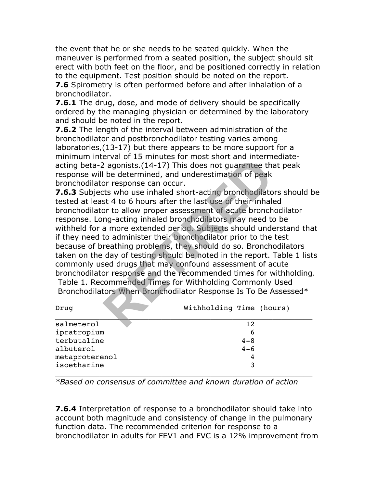the event that he or she needs to be seated quickly. When the maneuver is performed from a seated position, the subject should sit erect with both feet on the floor, and be positioned correctly in relation to the equipment. Test position should be noted on the report.

**7.6** Spirometry is often performed before and after inhalation of a bronchodilator.

**7.6.1** The drug, dose, and mode of delivery should be specifically ordered by the managing physician or determined by the laboratory and should be noted in the report.

**7.6.2** The length of the interval between administration of the bronchodilator and postbronchodilator testing varies among laboratories,(13-17) but there appears to be more support for a minimum interval of 15 minutes for most short and intermediateacting beta-2 agonists.(14-17) This does not guarantee that peak response will be determined, and underestimation of peak bronchodilator response can occur.

**7.6.3** Subjects who use inhaled short-acting bronchodilators should be tested at least 4 to 6 hours after the last use of their inhaled bronchodilator to allow proper assessment of acute bronchodilator response. Long-acting inhaled bronchodilators may need to be withheld for a more extended period. Subjects should understand that if they need to administer their bronchodilator prior to the test because of breathing problems, they should do so. Bronchodilators taken on the day of testing should be noted in the report. Table 1 lists commonly used drugs that may confound assessment of acute bronchodilator response and the recommended times for withholding. Table 1. Recommended Times for Withholding Commonly Used Proposition of 15 infinites for most short and intermit and intermitive appoints. (14-17) This does not guarantee that be determined, and underestimation of peak or response can occur.<br>
Subset of their inhala of peak of th

Bronchodilators When Bronchodilator Response Is To Be Assessed\*

| Drug           | Withholding Time (hours) |
|----------------|--------------------------|
| salmeterol     | 12.                      |
| ipratropium    | 6                        |
| terbutaline    | $4 - 8$                  |
| albuterol      | $4 - 6$                  |
| metaproterenol | 4                        |
| isoetharine    | 3                        |
|                |                          |

*\*Based on consensus of committee and known duration of action*

**7.6.4** Interpretation of response to a bronchodilator should take into account both magnitude and consistency of change in the pulmonary function data. The recommended criterion for response to a bronchodilator in adults for FEV1 and FVC is a 12% improvement from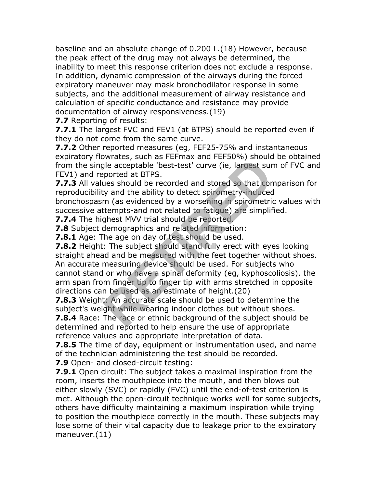baseline and an absolute change of 0.200 L.(18) However, because the peak effect of the drug may not always be determined, the inability to meet this response criterion does not exclude a response. In addition, dynamic compression of the airways during the forced expiratory maneuver may mask bronchodilator response in some subjects, and the additional measurement of airway resistance and calculation of specific conductance and resistance may provide documentation of airway responsiveness.(19)

**7.7** Reporting of results:

**7.7.1** The largest FVC and FEV1 (at BTPS) should be reported even if they do not come from the same curve.

**7.7.2** Other reported measures (eg, FEF25-75% and instantaneous expiratory flowrates, such as FEFmax and FEF50%) should be obtained from the single acceptable 'best-test' curve (ie, largest sum of FVC and FEV1) and reported at BTPS.

**7.7.3** All values should be recorded and stored so that comparison for reproducibility and the ability to detect spirometry-induced bronchospasm (as evidenced by a worsening in spirometric values with successive attempts-and not related to fatigue) are simplified.

**7.7.4** The highest MVV trial should be reported.

**7.8** Subject demographics and related information:

**7.8.1** Age: The age on day of test should be used.

**7.8.2** Height: The subject should stand fully erect with eyes looking straight ahead and be measured with the feet together without shoes. An accurate measuring device should be used. For subjects who cannot stand or who have a spinal deformity (eg, kyphoscoliosis), the arm span from finger tip to finger tip with arms stretched in opposite directions can be used as an estimate of height.(20) acceptable 'best-test' curve (ie, largest sur-<br>ported at BTPS.<br>transformation of the ability to detect spirometry-induced<br>m (as evidenced by a worsening in spirometric<br>ttempts-and not related to fatigue) are simplif<br>ghest

**7.8.3** Weight: An accurate scale should be used to determine the subject's weight while wearing indoor clothes but without shoes.

**7.8.4** Race: The race or ethnic background of the subject should be determined and reported to help ensure the use of appropriate reference values and appropriate interpretation of data.

**7.8.5** The time of day, equipment or instrumentation used, and name of the technician administering the test should be recorded.

**7.9** Open- and closed-circuit testing:

**7.9.1** Open circuit: The subject takes a maximal inspiration from the room, inserts the mouthpiece into the mouth, and then blows out either slowly (SVC) or rapidly (FVC) until the end-of-test criterion is met. Although the open-circuit technique works well for some subjects, others have difficulty maintaining a maximum inspiration while trying to position the mouthpiece correctly in the mouth. These subjects may lose some of their vital capacity due to leakage prior to the expiratory maneuver.(11)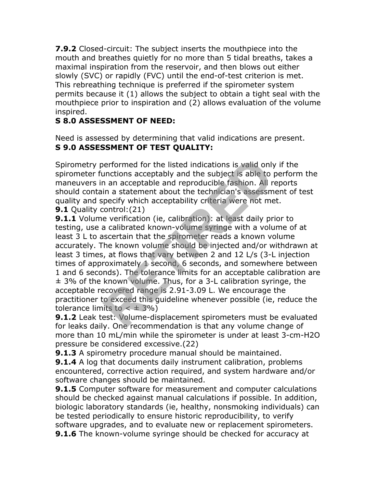**7.9.2** Closed-circuit: The subject inserts the mouthpiece into the mouth and breathes quietly for no more than 5 tidal breaths, takes a maximal inspiration from the reservoir, and then blows out either slowly (SVC) or rapidly (FVC) until the end-of-test criterion is met. This rebreathing technique is preferred if the spirometer system permits because it (1) allows the subject to obtain a tight seal with the mouthpiece prior to inspiration and (2) allows evaluation of the volume inspired.

## **S 8.0 ASSESSMENT OF NEED:**

Need is assessed by determining that valid indications are present. **S 9.0 ASSESSMENT OF TEST QUALITY:**

Spirometry performed for the listed indications is valid only if the spirometer functions acceptably and the subject is able to perform the maneuvers in an acceptable and reproducible fashion. All reports should contain a statement about the technician's assessment of test quality and specify which acceptability criteria were not met. **9.1** Quality control: (21)

**9.1.1** Volume verification (ie, calibration): at least daily prior to testing, use a calibrated known-volume syringe with a volume of at least 3 L to ascertain that the spirometer reads a known volume accurately. The known volume should be injected and/or withdrawn at least 3 times, at flows that vary between 2 and 12 L/s (3-L injection times of approximately 1 second, 6 seconds, and somewhere between 1 and 6 seconds). The tolerance limits for an acceptable calibration are ± 3% of the known volume. Thus, for a 3-L calibration syringe, the acceptable recovered range is 2.91-3.09 L. We encourage the practitioner to exceed this guideline whenever possible (ie, reduce the tolerance limits to  $< \pm 3\%$ ) erformed for the listed indications is valid only<br>unctions acceptably and the subject is able to<br>n an acceptable and reproducible fashion. All r<br>in a statement about the technician's assessm<br>pecify which acceptability crit

**9.1.2** Leak test: Volume-displacement spirometers must be evaluated for leaks daily. One recommendation is that any volume change of more than 10 mL/min while the spirometer is under at least 3-cm-H2O pressure be considered excessive.(22)

**9.1.3** A spirometry procedure manual should be maintained.

**9.1.4** A log that documents daily instrument calibration, problems encountered, corrective action required, and system hardware and/or software changes should be maintained.

**9.1.5** Computer software for measurement and computer calculations should be checked against manual calculations if possible. In addition, biologic laboratory standards (ie, healthy, nonsmoking individuals) can be tested periodically to ensure historic reproducibility, to verify software upgrades, and to evaluate new or replacement spirometers. **9.1.6** The known-volume syringe should be checked for accuracy at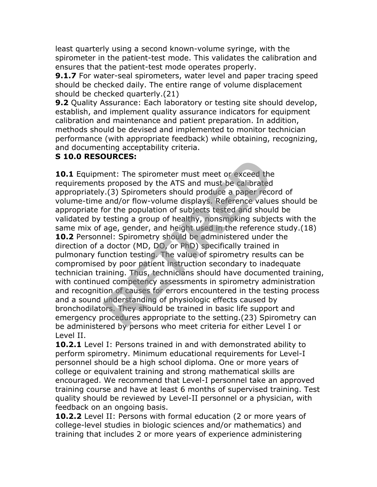least quarterly using a second known-volume syringe, with the spirometer in the patient-test mode. This validates the calibration and ensures that the patient-test mode operates properly.

**9.1.7** For water-seal spirometers, water level and paper tracing speed should be checked daily. The entire range of volume displacement should be checked quarterly.(21)

**9.2** Quality Assurance: Each laboratory or testing site should develop, establish, and implement quality assurance indicators for equipment calibration and maintenance and patient preparation. In addition, methods should be devised and implemented to monitor technician performance (with appropriate feedback) while obtaining, recognizing, and documenting acceptability criteria.

#### **S 10.0 RESOURCES:**

**10.1** Equipment: The spirometer must meet or exceed the requirements proposed by the ATS and must be calibrated appropriately.(3) Spirometers should produce a paper record of volume-time and/or flow-volume displays. Reference values should be appropriate for the population of subjects tested and should be validated by testing a group of healthy, nonsmoking subjects with the same mix of age, gender, and height used in the reference study.(18) **10.2** Personnel: Spirometry should be administered under the direction of a doctor (MD, DO, or PhD) specifically trained in pulmonary function testing. The value of spirometry results can be compromised by poor patient instruction secondary to inadequate technician training. Thus, technicians should have documented training, with continued competency assessments in spirometry administration and recognition of causes for errors encountered in the testing process and a sound understanding of physiologic effects caused by bronchodilators. They should be trained in basic life support and emergency procedures appropriate to the setting.(23) Spirometry can be administered by persons who meet criteria for either Level I or Level II. **RETAINM** International must meet or exceed the sproposed by the ATS and must be calibrated  $\ell$ .(3) Spirometers should produce a paper recent and/or flow-volume displays. Reference value for the population of subjects tes

**10.2.1** Level I: Persons trained in and with demonstrated ability to perform spirometry. Minimum educational requirements for Level-I personnel should be a high school diploma. One or more years of college or equivalent training and strong mathematical skills are encouraged. We recommend that Level-I personnel take an approved training course and have at least 6 months of supervised training. Test quality should be reviewed by Level-II personnel or a physician, with feedback on an ongoing basis.

**10.2.2** Level II: Persons with formal education (2 or more years of college-level studies in biologic sciences and/or mathematics) and training that includes 2 or more years of experience administering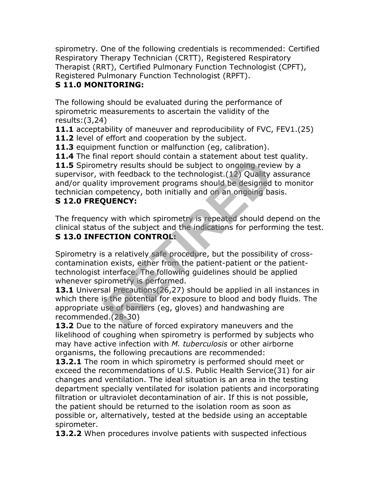spirometry. One of the following credentials is recommended: Certified Respiratory Therapy Technician (CRTT), Registered Respiratory Therapist (RRT), Certified Pulmonary Function Technologist (CPFT), Registered Pulmonary Function Technologist (RPFT).

## **S 11.0 MONITORING:**

The following should be evaluated during the performance of spirometric measurements to ascertain the validity of the results:(3,24)

**11.1** acceptability of maneuver and reproducibility of FVC, FEV1.(25) **11.2** level of effort and cooperation by the subject.

**11.3** equipment function or malfunction (eg, calibration).

**11.4** The final report should contain a statement about test quality.

11.5 Spirometry results should be subject to ongoing review by a supervisor, with feedback to the technologist.(12) Quality assurance and/or quality improvement programs should be designed to monitor technician competency, both initially and on an ongoing basis. an report should contain a statement about cestry results should be subject to ongoing revisith feedback to the technologist. (12) Quality wimprovement programs should be designed mypetency, both initially and on an ongoin

## **S 12.0 FREQUENCY:**

The frequency with which spirometry is repeated should depend on the clinical status of the subject and the indications for performing the test. **S 13.0 INFECTION CONTROL:**

Spirometry is a relatively safe procedure, but the possibility of crosscontamination exists, either from the patient-patient or the patienttechnologist interface. The following guidelines should be applied whenever spirometry is performed.

**13.1** Universal Precautions (26,27) should be applied in all instances in which there is the potential for exposure to blood and body fluids. The appropriate use of barriers (eg, gloves) and handwashing are recommended.(28-30)

**13.2** Due to the nature of forced expiratory maneuvers and the likelihood of coughing when spirometry is performed by subjects who may have active infection with *M. tuberculosis* or other airborne organisms, the following precautions are recommended:

**13.2.1** The room in which spirometry is performed should meet or exceed the recommendations of U.S. Public Health Service(31) for air changes and ventilation. The ideal situation is an area in the testing department specially ventilated for isolation patients and incorporating filtration or ultraviolet decontamination of air. If this is not possible, the patient should be returned to the isolation room as soon as possible or, alternatively, tested at the bedside using an acceptable spirometer.

13.2.2 When procedures involve patients with suspected infectious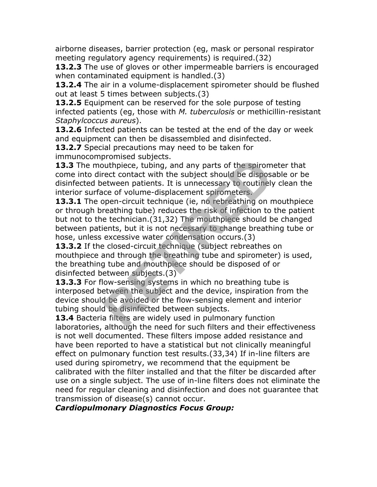airborne diseases, barrier protection (eg, mask or personal respirator meeting regulatory agency requirements) is required.(32)

**13.2.3** The use of gloves or other impermeable barriers is encouraged when contaminated equipment is handled.(3)

**13.2.4** The air in a volume-displacement spirometer should be flushed out at least 5 times between subjects.(3)

**13.2.5** Equipment can be reserved for the sole purpose of testing infected patients (eg, those with *M. tuberculosis* or methicillin-resistant *Staphylcoccus aureus*).

**13.2.6** Infected patients can be tested at the end of the day or week and equipment can then be disassembled and disinfected.

**13.2.7** Special precautions may need to be taken for immunocompromised subjects.

**13.3** The mouthpiece, tubing, and any parts of the spirometer that come into direct contact with the subject should be disposable or be disinfected between patients. It is unnecessary to routinely clean the interior surface of volume-displacement spirometers.

13.3.1 The open-circuit technique (ie, no rebreathing on mouthpiece or through breathing tube) reduces the risk of infection to the patient but not to the technician.(31,32) The mouthpiece should be changed between patients, but it is not necessary to change breathing tube or hose, unless excessive water condensation occurs.(3) Substitute the subjects.<br>
Substitute the subject should be disposed<br>
Exerce contact with the subject should be disposed<br>
Exerce patients. It is unnecessary to routinely<br>
Ce of volume-displacement spirometers.<br>
Depen-circui

**13.3.2** If the closed-circuit technique (subject rebreathes on mouthpiece and through the breathing tube and spirometer) is used, the breathing tube and mouthpiece should be disposed of or disinfected between subjects.(3)

**13.3.3** For flow-sensing systems in which no breathing tube is interposed between the subject and the device, inspiration from the device should be avoided or the flow-sensing element and interior tubing should be disinfected between subjects.

**13.4** Bacteria filters are widely used in pulmonary function laboratories, although the need for such filters and their effectiveness is not well documented. These filters impose added resistance and have been reported to have a statistical but not clinically meaningful effect on pulmonary function test results.(33,34) If in-line filters are used during spirometry, we recommend that the equipment be calibrated with the filter installed and that the filter be discarded after use on a single subject. The use of in-line filters does not eliminate the need for regular cleaning and disinfection and does not guarantee that transmission of disease(s) cannot occur.

*Cardiopulmonary Diagnostics Focus Group:*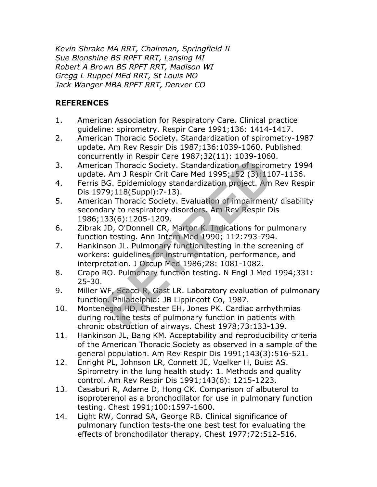*Kevin Shrake MA RRT, Chairman, Springfield IL Sue Blonshine BS RPFT RRT, Lansing MI Robert A Brown BS RPFT RRT, Madison WI Gregg L Ruppel MEd RRT, St Louis MO Jack Wanger MBA RPFT RRT, Denver CO*

## **REFERENCES**

- 1. American Association for Respiratory Care. Clinical practice guideline: spirometry. Respir Care 1991;136: 1414-1417.
- 2. American Thoracic Society. Standardization of spirometry-1987 update. Am Rev Respir Dis 1987;136:1039-1060. Published concurrently in Respir Care 1987;32(11): 1039-1060.
- 3. American Thoracic Society. Standardization of spirometry 1994 update. Am J Respir Crit Care Med 1995;152 (3):1107-1136.
- 4. Ferris BG. Epidemiology standardization project. Am Rev Respir Dis 1979;118(Suppl):7-13).
- 5. American Thoracic Society. Evaluation of impairment/ disability secondary to respiratory disorders. Am Rev Respir Dis 1986;133(6):1205-1209.
- 6. Zibrak JD, O'Donnell CR, Marton K. Indications for pulmonary function testing. Ann Intern Med 1990; 112:793-794.
- 7. Hankinson JL. Pulmonary function testing in the screening of workers: guidelines for instrumentation, performance, and interpretation. J Occup Med 1986;28: 1081-1082. Final Thoracic Society. Standardization of spirons<br>
1. Am J Respir Crit Care Med 1995;152 (3):110<br>
1. Am J Respir Crit Care Med 1995;152 (3):110<br>
1. Am J Respir Crit Care Med 1995;152 (3):110<br>
1. P9;118(Suppl):7-13).<br>
2. A
- 8. Crapo RO. Pulmonary function testing. N Engl J Med 1994;331: 25-30.
- 9. Miller WF, Scacci R, Gast LR. Laboratory evaluation of pulmonary function. Philadelphia: JB Lippincott Co, 1987.
- 10. Montenegro HD, Chester EH, Jones PK. Cardiac arrhythmias during routine tests of pulmonary function in patients with chronic obstruction of airways. Chest 1978;73:133-139.
- 11. Hankinson JL, Bang KM. Acceptability and reproducibility criteria of the American Thoracic Society as observed in a sample of the general population. Am Rev Respir Dis 1991;143(3):516-521.
- 12. Enright PL, Johnson LR, Connett JE, Voelker H, Buist AS. Spirometry in the lung health study: 1. Methods and quality control. Am Rev Respir Dis 1991;143(6): 1215-1223.
- 13. Casaburi R, Adame D, Hong CK. Comparison of albuterol to isoproterenol as a bronchodilator for use in pulmonary function testing. Chest 1991;100:1597-1600.
- 14. Light RW, Conrad SA, George RB. Clinical significance of pulmonary function tests-the one best test for evaluating the effects of bronchodilator therapy. Chest 1977;72:512-516.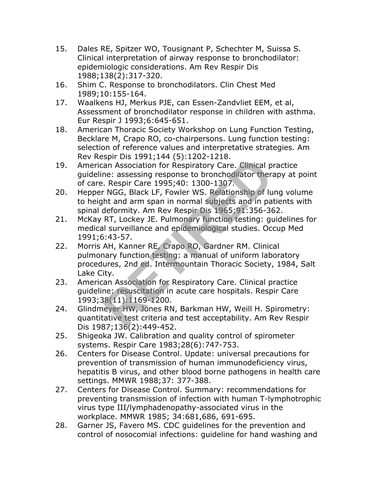- 15. Dales RE, Spitzer WO, Tousignant P, Schechter M, Suissa S. Clinical interpretation of airway response to bronchodilator: epidemiologic considerations. Am Rev Respir Dis 1988;138(2):317-320.
- 16. Shim C. Response to bronchodilators. Clin Chest Med 1989;10:155-164.
- 17. Waalkens HJ, Merkus PJE, can Essen-Zandvliet EEM, et al, Assessment of bronchodilator response in children with asthma. Eur Respir J 1993;6:645-651.
- 18. American Thoracic Society Workshop on Lung Function Testing, Becklare M, Crapo RO, co-chairpersons. Lung function testing: selection of reference values and interpretative strategies. Am Rev Respir Dis 1991;144 (5):1202-1218.
- 19. American Association for Respiratory Care. Clinical practice guideline: assessing response to bronchodilator therapy at point of care. Respir Care 1995;40: 1300-1307.
- 20. Hepper NGG, Black LF, Fowler WS. Relationship of lung volume to height and arm span in normal subjects and in patients with spinal deformity. Am Rev Respir Dis 1965;91:356-362.
- 21. McKay RT, Lockey JE. Pulmonary function testing: guidelines for medical surveillance and epidemiological studies. Occup Med 1991;6:43-57.
- 22. Morris AH, Kanner RE, Crapo RO, Gardner RM. Clinical pulmonary function testing: a manual of uniform laboratory procedures, 2nd ed. Intermountain Thoracic Society, 1984, Salt Lake City. Spin Dis 1331,144 (3).1202 1210.<br>
an Association for Respiratory Care. Clinical p<br>
ne: assessing response to bronchodilator thera<br>
. Respir Care 1995;40: 1300-1307.<br>
NGG, Black LF, Fowler WS. Relationship of lu<br>
ht and arm
- 23. American Association for Respiratory Care. Clinical practice guideline: resuscitation in acute care hospitals. Respir Care 1993;38(11):1169-1200.
- 24. Glindmeyer HW, Jones RN, Barkman HW, Weill H. Spirometry: quantitative test criteria and test acceptability. Am Rev Respir Dis 1987;136(2):449-452.
- 25. Shigeoka JW. Calibration and quality control of spirometer systems. Respir Care 1983;28(6):747-753.
- 26. Centers for Disease Control. Update: universal precautions for prevention of transmission of human immunodeficiency virus, hepatitis B virus, and other blood borne pathogens in health care settings. MMWR 1988;37: 377-388.
- 27. Centers for Disease Control. Summary: recommendations for preventing transmission of infection with human T-lymphotrophic virus type III/lymphadenopathy-associated virus in the workplace. MMWR 1985; 34:681,686, 691-695.
- 28. Garner JS, Favero MS. CDC guidelines for the prevention and control of nosocomial infections: guideline for hand washing and